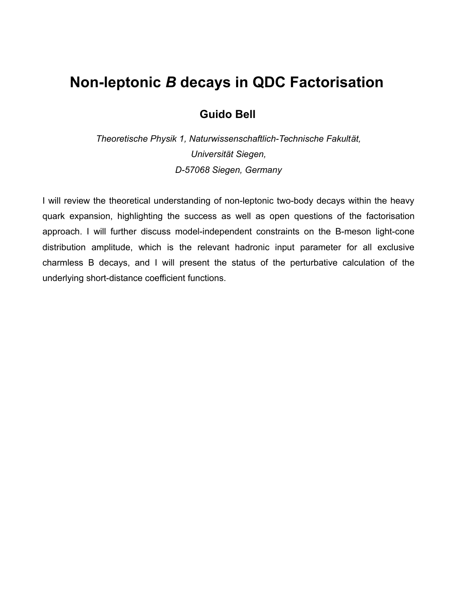### **Non-leptonic** *B* **decays in QDC Factorisation**

#### **Guido Bell**

*Theoretische Physik 1, Naturwissenschaftlich-Technische Fakult[ät](https://www.google.de/search?safe=off&client=ubuntu&espv=2&biw=1855&bih=1091&q=Universit%C3%A4t+Z%C3%BCrich&spell=1&sa=X&ved=0ahUKEwiG5ZXL-JTKAhVEuBQKHXK8B6MQBQgZKAA), Universi[tät](https://www.google.de/search?safe=off&client=ubuntu&espv=2&biw=1855&bih=1091&q=Universit%C3%A4t+Z%C3%BCrich&spell=1&sa=X&ved=0ahUKEwiG5ZXL-JTKAhVEuBQKHXK8B6MQBQgZKAA) Siegen, D-57068 Siegen, Germany*

I will review the theoretical understanding of non-leptonic two-body decays within the heavy quark expansion, highlighting the success as well as open questions of the factorisation approach. I will further discuss model-independent constraints on the B-meson light-cone distribution amplitude, which is the relevant hadronic input parameter for all exclusive charmless B decays, and I will present the status of the perturbative calculation of the underlying short-distance coefficient functions.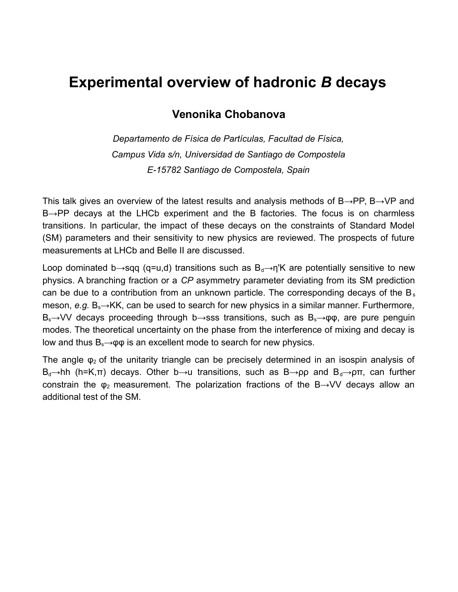### **Experimental overview of hadronic** *B* **decays**

#### **Venonika Chobanova**

*Departamento de Física de Partículas, Facultad de Física, Campus Vida s/n, Universidad de Santiago de Compostela E-15782 Santiago de Compostela, Spain*

This talk gives an overview of the latest results and analysis methods of  $B\rightarrow PP$ ,  $B\rightarrow VP$  and B→PP decays at the LHCb experiment and the B factories. The focus is on charmless transitions. In particular, the impact of these decays on the constraints of Standard Model (SM) parameters and their sensitivity to new physics are reviewed. The prospects of future measurements at LHCb and Belle II are discussed.

Loop dominated b→sqq (q=u,d) transitions such as  $B_d\rightarrow \eta K$  are potentially sensitive to new physics. A branching fraction or a *CP* asymmetry parameter deviating from its SM prediction can be due to a contribution from an unknown particle. The corresponding decays of the  $B_s$ meson, *e.g.* B<sub>s</sub>→KK, can be used to search for new physics in a similar manner. Furthermore,  $B_s \rightarrow VV$  decays proceeding through b $\rightarrow$ sss transitions, such as  $B_s \rightarrow \phi \phi$ , are pure penguin modes. The theoretical uncertainty on the phase from the interference of mixing and decay is low and thus  $B_s \rightarrow \phi \phi$  is an excellent mode to search for new physics.

The angle  $\varphi_2$  of the unitarity triangle can be precisely determined in an isospin analysis of  $B_d\rightarrow hh$  (h=K,π) decays. Other b $\rightarrow$ u transitions, such as B $\rightarrow$ ρρ and B<sub>d</sub> $\rightarrow$ ρπ, can further constrain the  $\varphi_2$  measurement. The polarization fractions of the B $\rightarrow$ VV decays allow an additional test of the SM.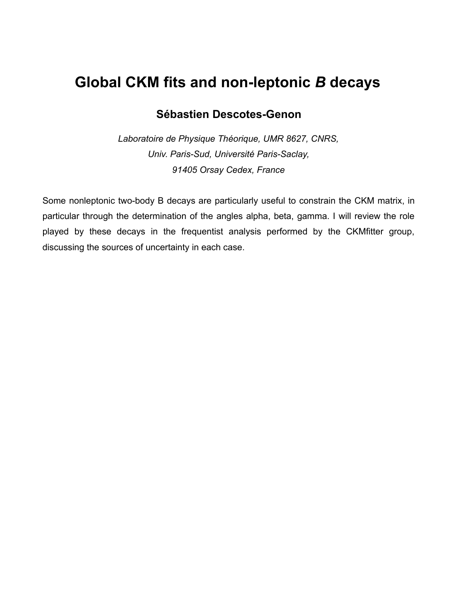### **Global CKM fits and non-leptonic** *B* **decays**

#### **Sébastien Descotes-Genon**

*Laboratoire de Physique Théorique, UMR 8627, CNRS, Univ. Paris-Sud, Université Paris-Saclay, 91405 Orsay Cedex, France*

Some nonleptonic two-body B decays are particularly useful to constrain the CKM matrix, in particular through the determination of the angles alpha, beta, gamma. I will review the role played by these decays in the frequentist analysis performed by the CKMfitter group, discussing the sources of uncertainty in each case.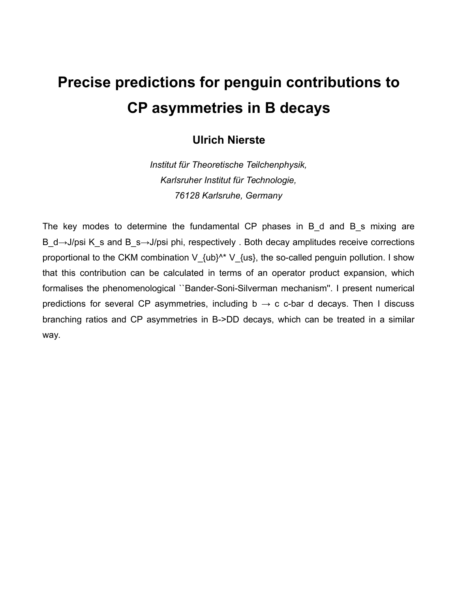# **Precise predictions for penguin contributions to CP asymmetries in B decays**

#### **Ulrich Nierste**

*Institut für Theoretische Teilchenphysik, Karlsruher Institut für Technologie, 76128 Karlsruhe, Germany*

The key modes to determine the fundamental CP phases in B d and B s mixing are B d→J/psi K s and B s→J/psi phi, respectively . Both decay amplitudes receive corrections proportional to the CKM combination V  $\{ub\}^{\wedge *}$  V  $\{us\}$ , the so-called penguin pollution. I show that this contribution can be calculated in terms of an operator product expansion, which formalises the phenomenological ``Bander-Soni-Silverman mechanism''. I present numerical predictions for several CP asymmetries, including  $b \rightarrow c$  c-bar d decays. Then I discuss branching ratios and CP asymmetries in B->DD decays, which can be treated in a similar way.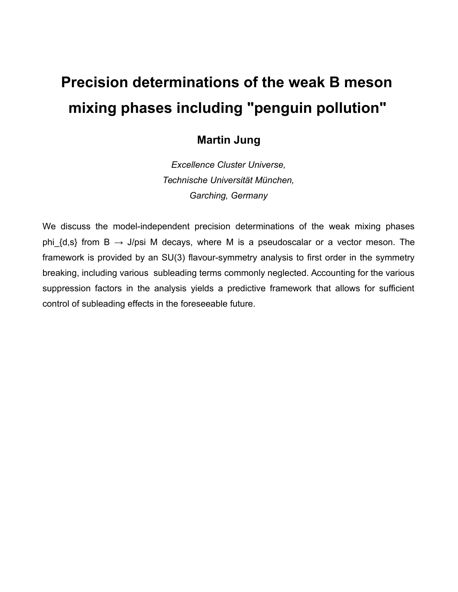# **Precision determinations of the weak B meson mixing phases including "penguin pollution"**

#### **Martin Jung**

*Excellence Cluster Universe, Technische Universität München, Garching, Germany*

We discuss the model-independent precision determinations of the weak mixing phases phi  $\{d,s\}$  from B  $\rightarrow$  J/psi M decays, where M is a pseudoscalar or a vector meson. The framework is provided by an SU(3) flavour-symmetry analysis to first order in the symmetry breaking, including various subleading terms commonly neglected. Accounting for the various suppression factors in the analysis yields a predictive framework that allows for sufficient control of subleading effects in the foreseeable future.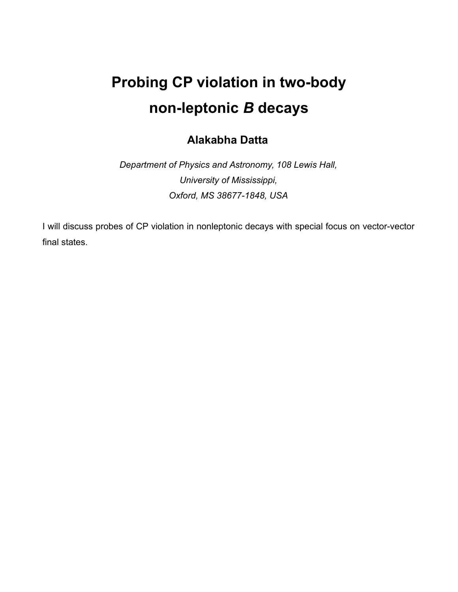# **Probing CP violation in two-body non-leptonic** *B* **decays**

#### **Alakabha Datta**

*Department of Physics and Astronomy, 108 Lewis Hall, University of Mississippi, Oxford, MS 38677-1848, USA*

I will discuss probes of CP violation in nonleptonic decays with special focus on vector-vector final states.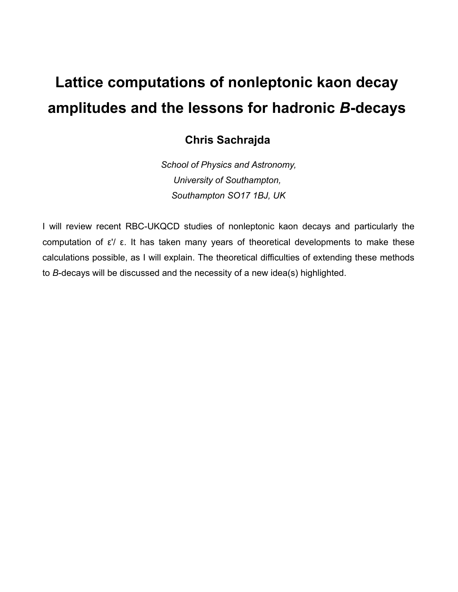## **Lattice computations of nonleptonic kaon decay amplitudes and the lessons for hadronic** *B***-decays**

### **Chris Sachrajda**

*School of Physics and Astronomy, University of Southampton, Southampton SO17 1BJ, UK*

I will review recent RBC-UKQCD studies of nonleptonic kaon decays and particularly the computation of ε'/ ε. It has taken many years of theoretical developments to make these calculations possible, as I will explain. The theoretical difficulties of extending these methods to *B*-decays will be discussed and the necessity of a new idea(s) highlighted.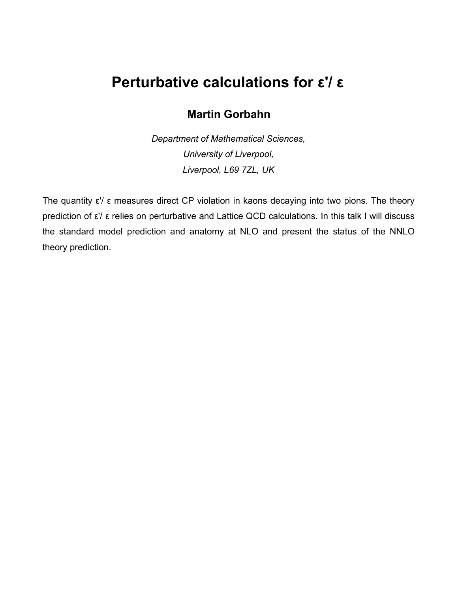### **Perturbative calculations for ε'/ ε**

### **Martin Gorbahn**

*Department of Mathematical Sciences, University of Liverpool, Liverpool, L69 7ZL, UK*

The quantity ε'/ ε measures direct CP violation in kaons decaying into two pions. The theory prediction of ε'/ ε relies on perturbative and Lattice QCD calculations. In this talk I will discuss the standard model prediction and anatomy at NLO and present the status of the NNLO theory prediction.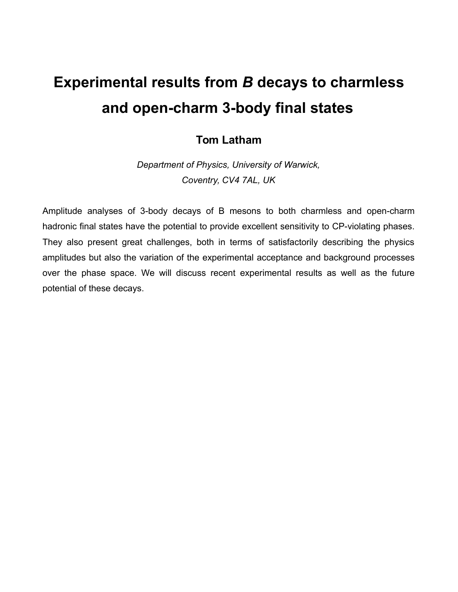## **Experimental results from** *B* **decays to charmless and open-charm 3-body final states**

#### **Tom Latham**

*Department of Physics, University of Warwick, Coventry, CV4 7AL, UK*

Amplitude analyses of 3-body decays of B mesons to both charmless and open-charm hadronic final states have the potential to provide excellent sensitivity to CP-violating phases. They also present great challenges, both in terms of satisfactorily describing the physics amplitudes but also the variation of the experimental acceptance and background processes over the phase space. We will discuss recent experimental results as well as the future potential of these decays.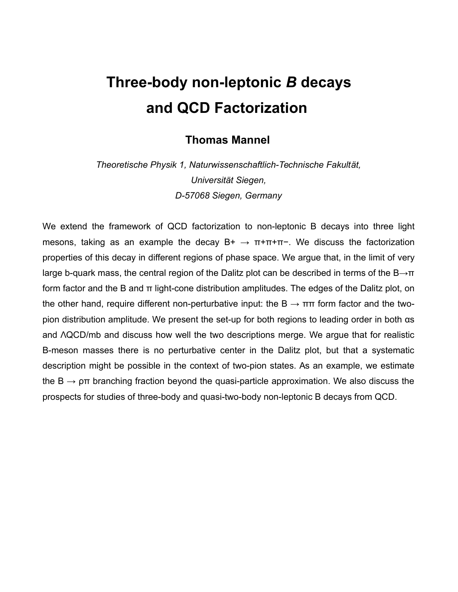## **Three-body non-leptonic** *B* **decays and QCD Factorization**

#### **Thomas Mannel**

*Theoretische Physik 1, Naturwissenschaftlich-Technische Fakult[ät](https://www.google.de/search?safe=off&client=ubuntu&espv=2&biw=1855&bih=1091&q=Universit%C3%A4t+Z%C3%BCrich&spell=1&sa=X&ved=0ahUKEwiG5ZXL-JTKAhVEuBQKHXK8B6MQBQgZKAA), Universi[tät](https://www.google.de/search?safe=off&client=ubuntu&espv=2&biw=1855&bih=1091&q=Universit%C3%A4t+Z%C3%BCrich&spell=1&sa=X&ved=0ahUKEwiG5ZXL-JTKAhVEuBQKHXK8B6MQBQgZKAA) Siegen, D-57068 Siegen, Germany*

We extend the framework of QCD factorization to non-leptonic B decays into three light mesons, taking as an example the decay  $B^+ \rightarrow \pi^+\pi^+\pi^-$ . We discuss the factorization properties of this decay in different regions of phase space. We argue that, in the limit of very large b-quark mass, the central region of the Dalitz plot can be described in terms of the  $B\rightarrow \pi$ form factor and the B and π light-cone distribution amplitudes. The edges of the Dalitz plot, on the other hand, require different non-perturbative input: the  $B \to \pi\pi$  form factor and the twopion distribution amplitude. We present the set-up for both regions to leading order in both αs and ΛQCD/mb and discuss how well the two descriptions merge. We argue that for realistic B-meson masses there is no perturbative center in the Dalitz plot, but that a systematic description might be possible in the context of two-pion states. As an example, we estimate the B  $\rightarrow$   $\rho\pi$  branching fraction beyond the quasi-particle approximation. We also discuss the prospects for studies of three-body and quasi-two-body non-leptonic B decays from QCD.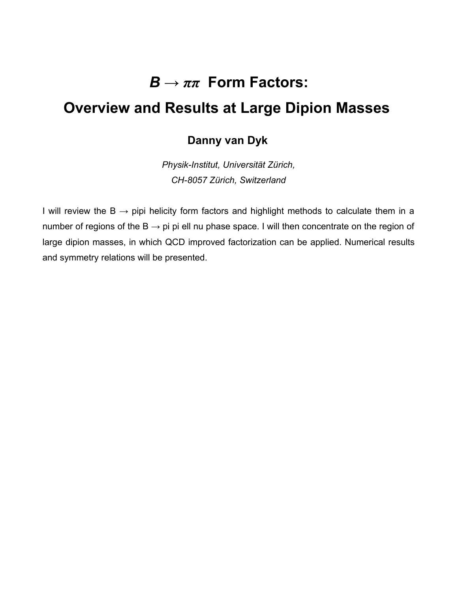## *B → ππ* **Form Factors:**

### **Overview and Results at Large Dipion Masses**

#### **Danny van Dyk**

*Physik-Institut, [Universität](https://www.google.de/search?safe=off&client=ubuntu&espv=2&biw=1855&bih=1091&q=Universit%C3%A4t+Z%C3%BCrich&spell=1&sa=X&ved=0ahUKEwiG5ZXL-JTKAhVEuBQKHXK8B6MQBQgZKAA) [Zürich,](https://www.google.de/search?safe=off&client=ubuntu&espv=2&biw=1855&bih=1091&q=Universit%C3%A4t+Z%C3%BCrich&spell=1&sa=X&ved=0ahUKEwiG5ZXL-JTKAhVEuBQKHXK8B6MQBQgZKAA) CH-8057 [Zürich,](https://www.google.de/search?safe=off&client=ubuntu&espv=2&biw=1855&bih=1091&q=Universit%C3%A4t+Z%C3%BCrich&spell=1&sa=X&ved=0ahUKEwiG5ZXL-JTKAhVEuBQKHXK8B6MQBQgZKAA) Switzerland*

I will review the  $B \rightarrow$  pipi helicity form factors and highlight methods to calculate them in a number of regions of the  $B \rightarrow p$  pi pi ell nu phase space. I will then concentrate on the region of large dipion masses, in which QCD improved factorization can be applied. Numerical results and symmetry relations will be presented.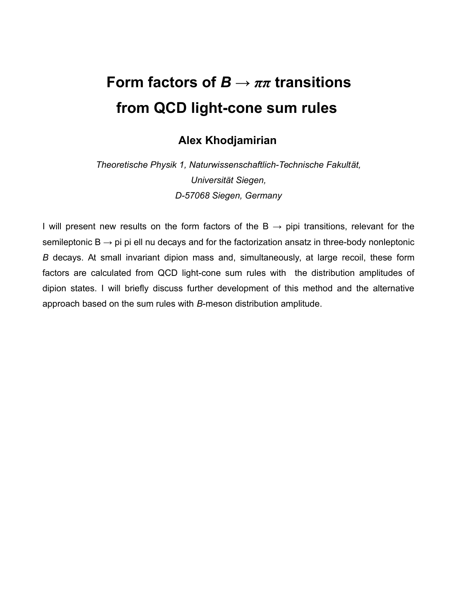## **Form factors of** *B → ππ* **transitions from QCD light-cone sum rules**

#### **Alex Khodjamirian**

*Theoretische Physik 1, Naturwissenschaftlich-Technische Fakult[ät](https://www.google.de/search?safe=off&client=ubuntu&espv=2&biw=1855&bih=1091&q=Universit%C3%A4t+Z%C3%BCrich&spell=1&sa=X&ved=0ahUKEwiG5ZXL-JTKAhVEuBQKHXK8B6MQBQgZKAA), Universi[tät](https://www.google.de/search?safe=off&client=ubuntu&espv=2&biw=1855&bih=1091&q=Universit%C3%A4t+Z%C3%BCrich&spell=1&sa=X&ved=0ahUKEwiG5ZXL-JTKAhVEuBQKHXK8B6MQBQgZKAA) Siegen, D-57068 Siegen, Germany*

I will present new results on the form factors of the  $B \rightarrow$  pipi transitions, relevant for the semileptonic  $B \rightarrow p i$  pi ell nu decays and for the factorization ansatz in three-body nonleptonic *B* decays. At small invariant dipion mass and, simultaneously, at large recoil, these form factors are calculated from QCD light-cone sum rules with the distribution amplitudes of dipion states. I will briefly discuss further development of this method and the alternative approach based on the sum rules with *B*-meson distribution amplitude.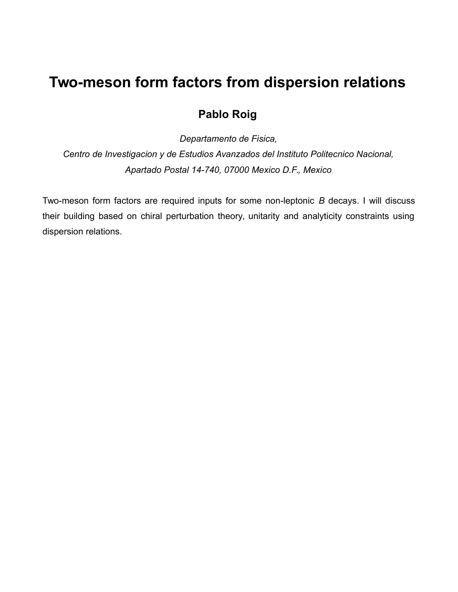### **Two-meson form factors from dispersion relations**

### **Pablo Roig**

*Departamento de Fisica,*

*Centro de Investigacion y de Estudios Avanzados del Instituto Politecnico Nacional, Apartado Postal 14-740, 07000 Mexico D.F., Mexico*

Two-meson form factors are required inputs for some non-leptonic *B* decays. I will discuss their building based on chiral perturbation theory, unitarity and analyticity constraints using dispersion relations.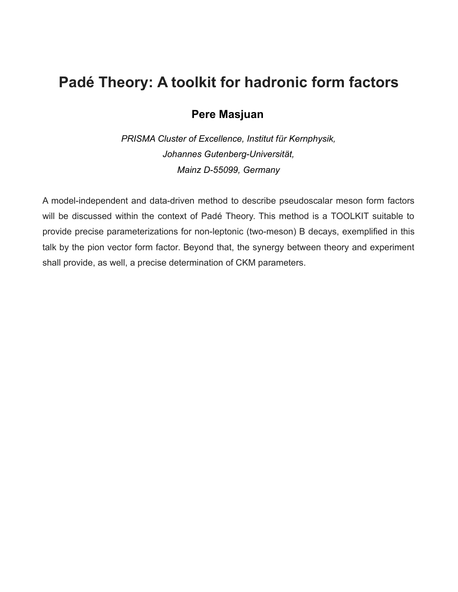### **Padé Theory: A toolkit for hadronic form factors**

#### **Pere Masjuan**

*PRISMA Cluster of Excellence, Institut für Kernphysik, Johannes Gutenberg-Universi[tät](https://www.google.de/search?safe=off&client=ubuntu&espv=2&biw=1855&bih=1091&q=Universit%C3%A4t+Z%C3%BCrich&spell=1&sa=X&ved=0ahUKEwiG5ZXL-JTKAhVEuBQKHXK8B6MQBQgZKAA), Mainz D-55099, Germany*

A model-independent and data-driven method to describe pseudoscalar meson form factors will be discussed within the context of Padé Theory. This method is a TOOLKIT suitable to provide precise parameterizations for non-leptonic (two-meson) B decays, exemplified in this talk by the pion vector form factor. Beyond that, the synergy between theory and experiment shall provide, as well, a precise determination of CKM parameters.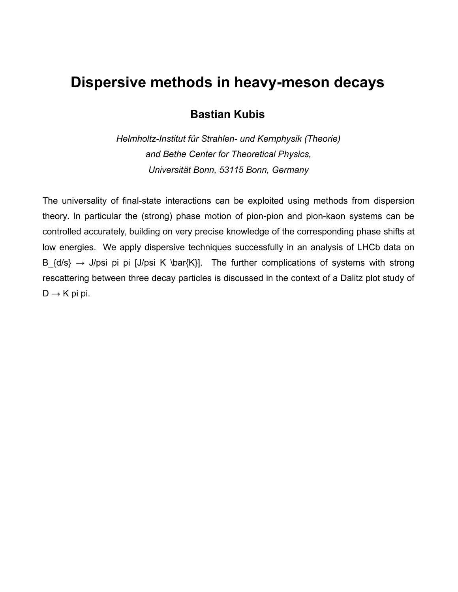### **Dispersive methods in heavy-meson decays**

#### **Bastian Kubis**

*Helmholtz-Institut für Strahlen- und Kernphysik (Theorie) and Bethe Center for Theoretical Physics, Universität Bonn, 53115 Bonn, Germany*

The universality of final-state interactions can be exploited using methods from dispersion theory. In particular the (strong) phase motion of pion-pion and pion-kaon systems can be controlled accurately, building on very precise knowledge of the corresponding phase shifts at low energies. We apply dispersive techniques successfully in an analysis of LHCb data on B  $\{d/s\} \rightarrow J/psi$  pi pi [J/psi K \bar{K}]. The further complications of systems with strong rescattering between three decay particles is discussed in the context of a Dalitz plot study of  $D \rightarrow K$  pi pi.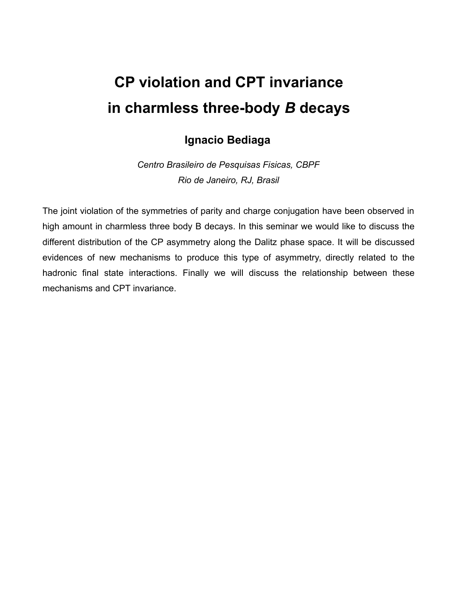## **CP violation and CPT invariance in charmless three-body** *B* **decays**

#### **Ignacio Bediaga**

*Centro Brasileiro de Pesquisas Fisicas, CBPF Rio de Janeiro, RJ, Brasil*

The joint violation of the symmetries of parity and charge conjugation have been observed in high amount in charmless three body B decays. In this seminar we would like to discuss the different distribution of the CP asymmetry along the Dalitz phase space. It will be discussed evidences of new mechanisms to produce this type of asymmetry, directly related to the hadronic final state interactions. Finally we will discuss the relationship between these mechanisms and CPT invariance.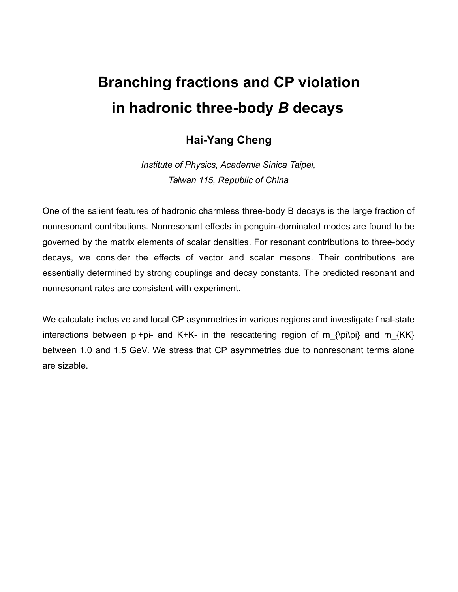## **Branching fractions and CP violation in hadronic three-body** *B* **decays**

#### **Hai-Yang Cheng**

*Institute of Physics, Academia Sinica Taipei, Taiwan 115, Republic of China*

One of the salient features of hadronic charmless three-body B decays is the large fraction of nonresonant contributions. Nonresonant effects in penguin-dominated modes are found to be governed by the matrix elements of scalar densities. For resonant contributions to three-body decays, we consider the effects of vector and scalar mesons. Their contributions are essentially determined by strong couplings and decay constants. The predicted resonant and nonresonant rates are consistent with experiment.

We calculate inclusive and local CP asymmetries in various regions and investigate final-state interactions between pi+pi- and K+K- in the rescattering region of m  $\{p_i\}$  and m  $\{KK\}$ between 1.0 and 1.5 GeV. We stress that CP asymmetries due to nonresonant terms alone are sizable.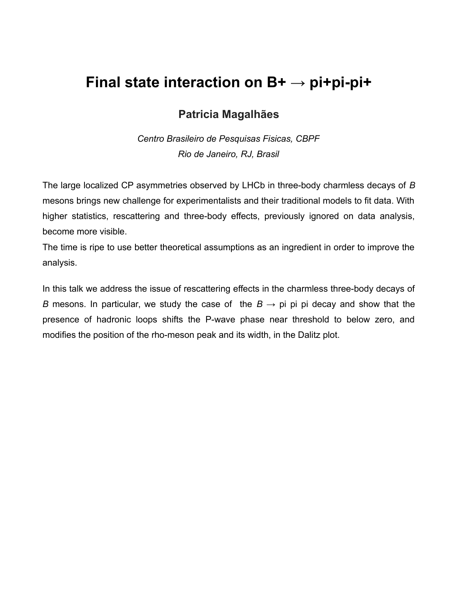### **Final state interaction on B+ → pi+pi-pi+**

#### **Patricia Magalhães**

*Centro Brasileiro de Pesquisas Fisicas, CBPF Rio de Janeiro, RJ, Brasil*

The large localized CP asymmetries observed by LHCb in three-body charmless decays of *B* mesons brings new challenge for experimentalists and their traditional models to fit data. With higher statistics, rescattering and three-body effects, previously ignored on data analysis, become more visible.

The time is ripe to use better theoretical assumptions as an ingredient in order to improve the analysis.

In this talk we address the issue of rescattering effects in the charmless three-body decays of *B* mesons. In particular, we study the case of the  $B \rightarrow$  pi pi pi decay and show that the presence of hadronic loops shifts the P-wave phase near threshold to below zero, and modifies the position of the rho-meson peak and its width, in the Dalitz plot.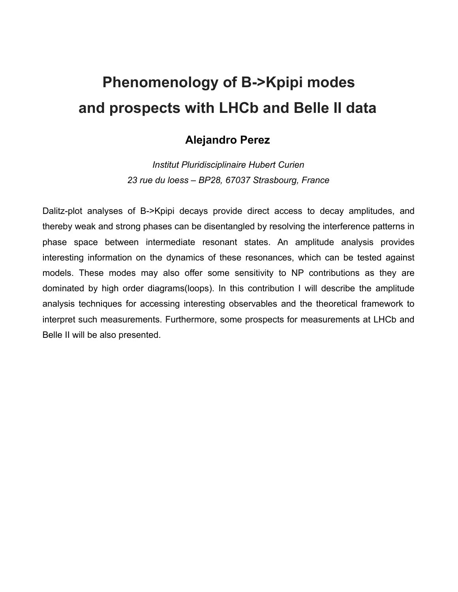## **Phenomenology of B->Kpipi modes and prospects with LHCb and Belle II data**

#### **Alejandro Perez**

*Institut Pluridisciplinaire Hubert Curien 23 rue du loess – BP28, 67037 Strasbourg, France*

Dalitz-plot analyses of B->Kpipi decays provide direct access to decay amplitudes, and thereby weak and strong phases can be disentangled by resolving the interference patterns in phase space between intermediate resonant states. An amplitude analysis provides interesting information on the dynamics of these resonances, which can be tested against models. These modes may also offer some sensitivity to NP contributions as they are dominated by high order diagrams(loops). In this contribution I will describe the amplitude analysis techniques for accessing interesting observables and the theoretical framework to interpret such measurements. Furthermore, some prospects for measurements at LHCb and Belle II will be also presented.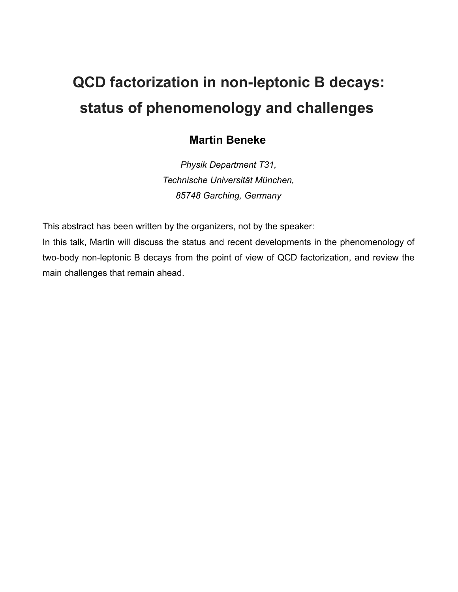# **QCD factorization in non-leptonic B decays: status of phenomenology and challenges**

#### **Martin Beneke**

*Physik Department T31, Technische Universität München, 85748 Garching, Germany*

This abstract has been written by the organizers, not by the speaker:

In this talk, Martin will discuss the status and recent developments in the phenomenology of two-body non-leptonic B decays from the point of view of QCD factorization, and review the main challenges that remain ahead.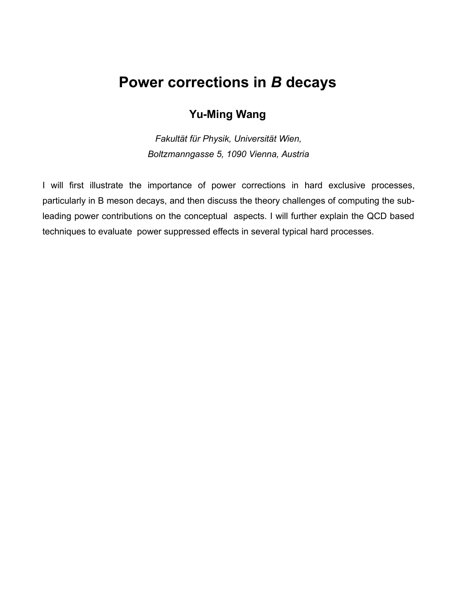## **Power corrections in** *B* **decays**

#### **Yu-Ming Wang**

*Fakultät für Physik, Universität Wien, Boltzmanngasse 5, 1090 Vienna, Austria*

I will first illustrate the importance of power corrections in hard exclusive processes, particularly in B meson decays, and then discuss the theory challenges of computing the subleading power contributions on the conceptual aspects. I will further explain the QCD based techniques to evaluate power suppressed effects in several typical hard processes.